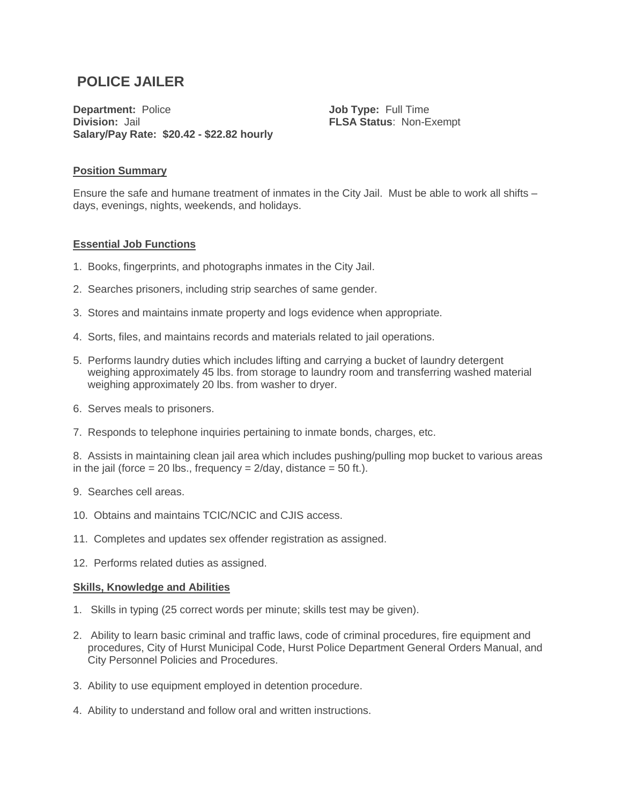# **POLICE JAILER**

**Department:** Police **Division:** Jail **Salary/Pay Rate: \$20.42 - \$22.82 hourly**

**Job Type:** Full Time **FLSA Status**: Non-Exempt

#### **Position Summary**

Ensure the safe and humane treatment of inmates in the City Jail. Must be able to work all shifts – days, evenings, nights, weekends, and holidays.

#### **Essential Job Functions**

- 1. Books, fingerprints, and photographs inmates in the City Jail.
- 2. Searches prisoners, including strip searches of same gender.
- 3. Stores and maintains inmate property and logs evidence when appropriate.
- 4. Sorts, files, and maintains records and materials related to jail operations.
- 5. Performs laundry duties which includes lifting and carrying a bucket of laundry detergent weighing approximately 45 lbs. from storage to laundry room and transferring washed material weighing approximately 20 lbs. from washer to dryer.
- 6. Serves meals to prisoners.
- 7. Responds to telephone inquiries pertaining to inmate bonds, charges, etc.

8. Assists in maintaining clean jail area which includes pushing/pulling mop bucket to various areas in the jail (force  $= 20$  lbs., frequency  $= 2$ /day, distance  $= 50$  ft.).

- 9. Searches cell areas.
- 10. Obtains and maintains TCIC/NCIC and CJIS access.
- 11. Completes and updates sex offender registration as assigned.
- 12. Performs related duties as assigned.

#### **Skills, Knowledge and Abilities**

- 1. Skills in typing (25 correct words per minute; skills test may be given).
- 2. Ability to learn basic criminal and traffic laws, code of criminal procedures, fire equipment and procedures, City of Hurst Municipal Code, Hurst Police Department General Orders Manual, and City Personnel Policies and Procedures.
- 3. Ability to use equipment employed in detention procedure.
- 4. Ability to understand and follow oral and written instructions.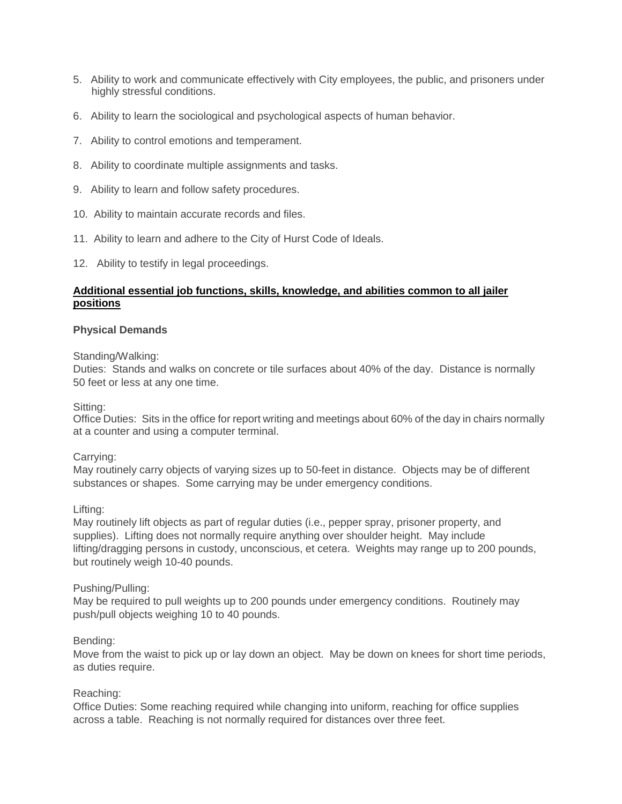- 5. Ability to work and communicate effectively with City employees, the public, and prisoners under highly stressful conditions.
- 6. Ability to learn the sociological and psychological aspects of human behavior.
- 7. Ability to control emotions and temperament.
- 8. Ability to coordinate multiple assignments and tasks.
- 9. Ability to learn and follow safety procedures.
- 10. Ability to maintain accurate records and files.
- 11. Ability to learn and adhere to the City of Hurst Code of Ideals.
- 12. Ability to testify in legal proceedings.

## **Additional essential job functions, skills, knowledge, and abilities common to all jailer positions**

#### **Physical Demands**

Standing/Walking:

Duties: Stands and walks on concrete or tile surfaces about 40% of the day. Distance is normally 50 feet or less at any one time.

Sitting:

Office Duties: Sits in the office for report writing and meetings about 60% of the day in chairs normally at a counter and using a computer terminal.

#### Carrying:

May routinely carry objects of varying sizes up to 50-feet in distance. Objects may be of different substances or shapes. Some carrying may be under emergency conditions.

Lifting:

May routinely lift objects as part of regular duties (i.e., pepper spray, prisoner property, and supplies). Lifting does not normally require anything over shoulder height. May include lifting/dragging persons in custody, unconscious, et cetera. Weights may range up to 200 pounds, but routinely weigh 10-40 pounds.

#### Pushing/Pulling:

May be required to pull weights up to 200 pounds under emergency conditions. Routinely may push/pull objects weighing 10 to 40 pounds.

#### Bending:

Move from the waist to pick up or lay down an object. May be down on knees for short time periods, as duties require.

#### Reaching:

Office Duties: Some reaching required while changing into uniform, reaching for office supplies across a table. Reaching is not normally required for distances over three feet.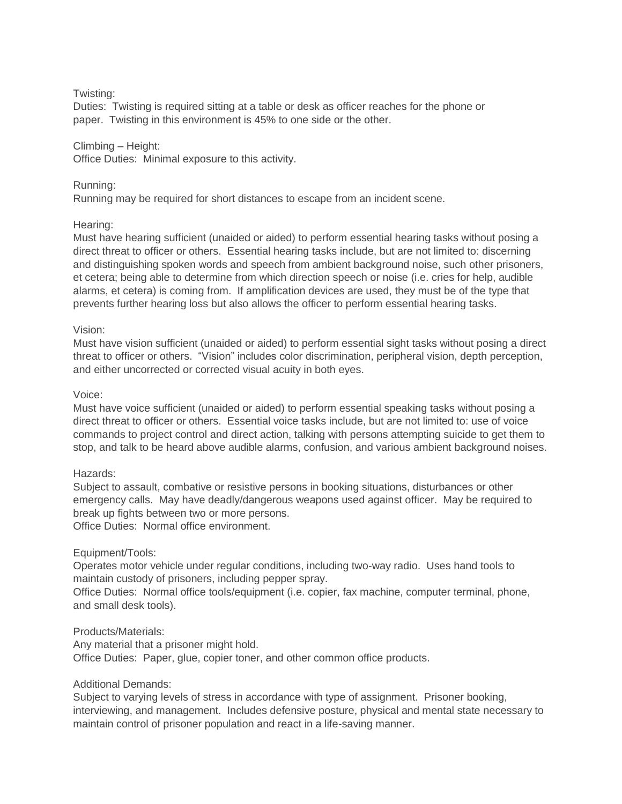#### Twisting:

Duties: Twisting is required sitting at a table or desk as officer reaches for the phone or paper. Twisting in this environment is 45% to one side or the other.

#### Climbing – Height:

Office Duties: Minimal exposure to this activity.

## Running:

Running may be required for short distances to escape from an incident scene.

## Hearing:

Must have hearing sufficient (unaided or aided) to perform essential hearing tasks without posing a direct threat to officer or others. Essential hearing tasks include, but are not limited to: discerning and distinguishing spoken words and speech from ambient background noise, such other prisoners, et cetera; being able to determine from which direction speech or noise (i.e. cries for help, audible alarms, et cetera) is coming from. If amplification devices are used, they must be of the type that prevents further hearing loss but also allows the officer to perform essential hearing tasks.

#### Vision:

Must have vision sufficient (unaided or aided) to perform essential sight tasks without posing a direct threat to officer or others. "Vision" includes color discrimination, peripheral vision, depth perception, and either uncorrected or corrected visual acuity in both eyes.

#### Voice:

Must have voice sufficient (unaided or aided) to perform essential speaking tasks without posing a direct threat to officer or others. Essential voice tasks include, but are not limited to: use of voice commands to project control and direct action, talking with persons attempting suicide to get them to stop, and talk to be heard above audible alarms, confusion, and various ambient background noises.

#### Hazards:

Subject to assault, combative or resistive persons in booking situations, disturbances or other emergency calls. May have deadly/dangerous weapons used against officer. May be required to break up fights between two or more persons.

Office Duties: Normal office environment.

## Equipment/Tools:

Operates motor vehicle under regular conditions, including two-way radio. Uses hand tools to maintain custody of prisoners, including pepper spray.

Office Duties: Normal office tools/equipment (i.e. copier, fax machine, computer terminal, phone, and small desk tools).

#### Products/Materials:

Any material that a prisoner might hold. Office Duties: Paper, glue, copier toner, and other common office products.

#### Additional Demands:

Subject to varying levels of stress in accordance with type of assignment. Prisoner booking, interviewing, and management. Includes defensive posture, physical and mental state necessary to maintain control of prisoner population and react in a life-saving manner.